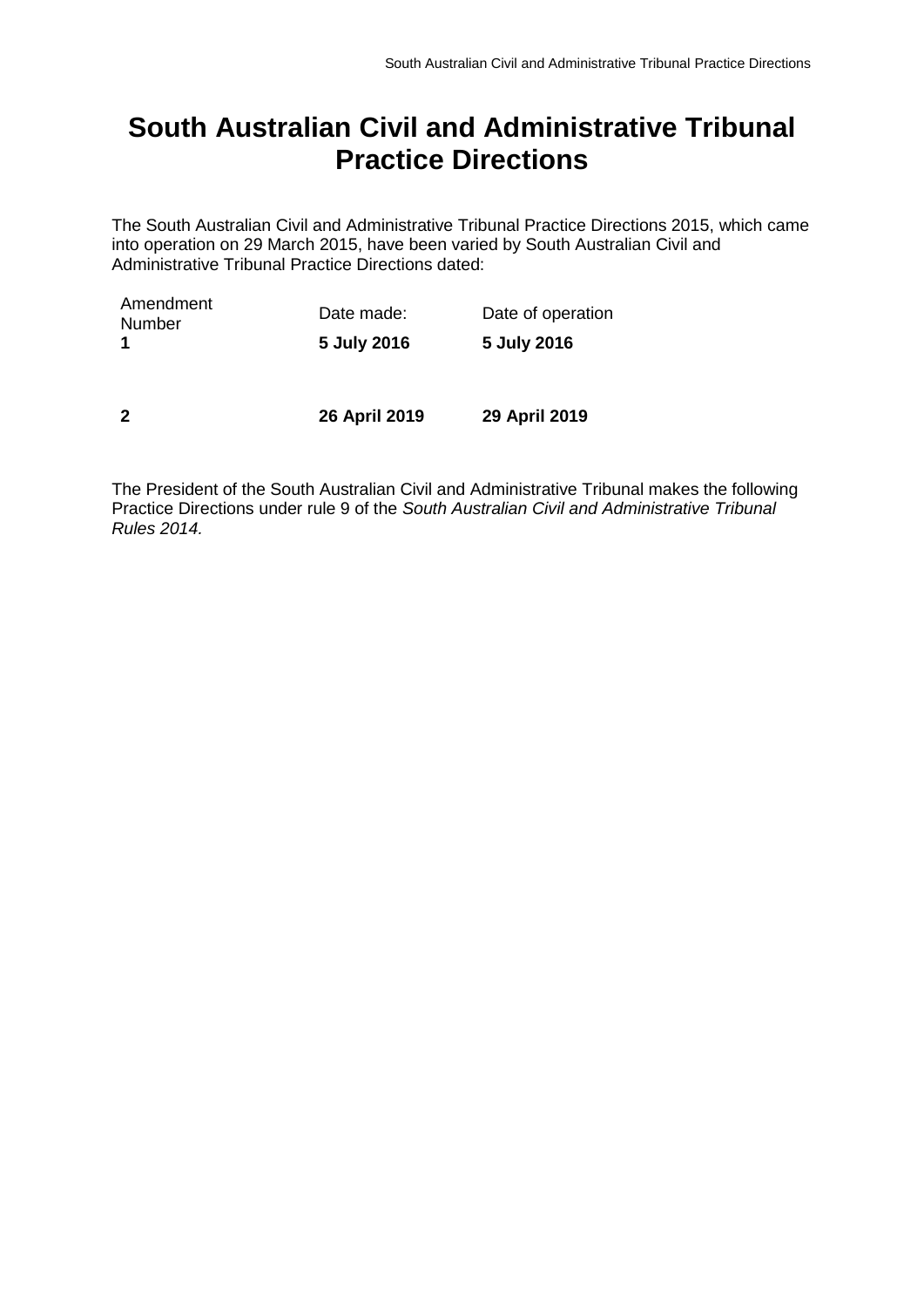# **South Australian Civil and Administrative Tribunal Practice Directions**

The South Australian Civil and Administrative Tribunal Practice Directions 2015, which came into operation on 29 March 2015, have been varied by South Australian Civil and Administrative Tribunal Practice Directions dated:

| Amendment<br>Number     | Date made:    | Date of operation |
|-------------------------|---------------|-------------------|
|                         | 5 July 2016   | 5 July 2016       |
|                         |               |                   |
| $\overline{\mathbf{z}}$ | 26 April 2019 | 29 April 2019     |

The President of the South Australian Civil and Administrative Tribunal makes the following Practice Directions under rule 9 of the *South Australian Civil and Administrative Tribunal Rules 2014.*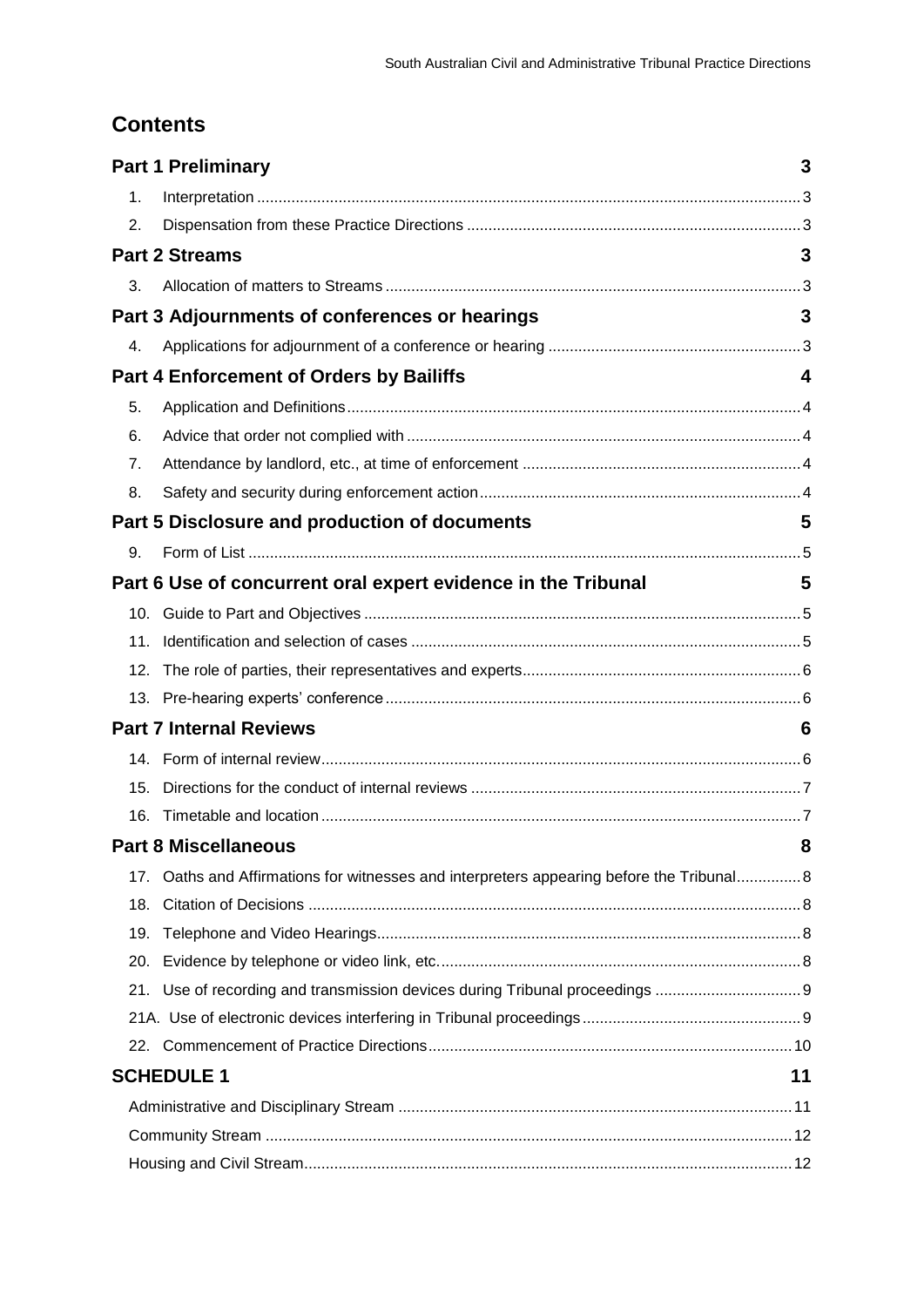# **Contents**

|                                | <b>Part 1 Preliminary</b>                                                             | 3  |
|--------------------------------|---------------------------------------------------------------------------------------|----|
| 1.                             |                                                                                       |    |
| 2.                             |                                                                                       |    |
|                                | <b>Part 2 Streams</b>                                                                 | 3  |
| 3.                             |                                                                                       |    |
|                                | Part 3 Adjournments of conferences or hearings                                        | 3  |
| 4.                             |                                                                                       |    |
|                                | <b>Part 4 Enforcement of Orders by Bailiffs</b>                                       | 4  |
| 5.                             |                                                                                       |    |
| 6.                             |                                                                                       |    |
| 7.                             |                                                                                       |    |
| 8.                             |                                                                                       |    |
|                                | Part 5 Disclosure and production of documents                                         | 5  |
| 9.                             |                                                                                       |    |
|                                | Part 6 Use of concurrent oral expert evidence in the Tribunal                         | 5  |
|                                |                                                                                       |    |
| 11.                            |                                                                                       |    |
| 12.                            |                                                                                       |    |
|                                |                                                                                       |    |
| <b>Part 7 Internal Reviews</b> |                                                                                       | 6  |
|                                |                                                                                       |    |
| 15.                            |                                                                                       |    |
| 16.                            |                                                                                       |    |
|                                | <b>Part 8 Miscellaneous</b>                                                           | 8  |
| 17.                            | Oaths and Affirmations for witnesses and interpreters appearing before the Tribunal 8 |    |
| 18.                            |                                                                                       |    |
| 19.                            |                                                                                       |    |
| 20.                            |                                                                                       |    |
| 21.                            |                                                                                       |    |
|                                |                                                                                       |    |
|                                |                                                                                       |    |
|                                | <b>SCHEDULE 1</b>                                                                     | 11 |
|                                |                                                                                       |    |
|                                |                                                                                       |    |
|                                |                                                                                       |    |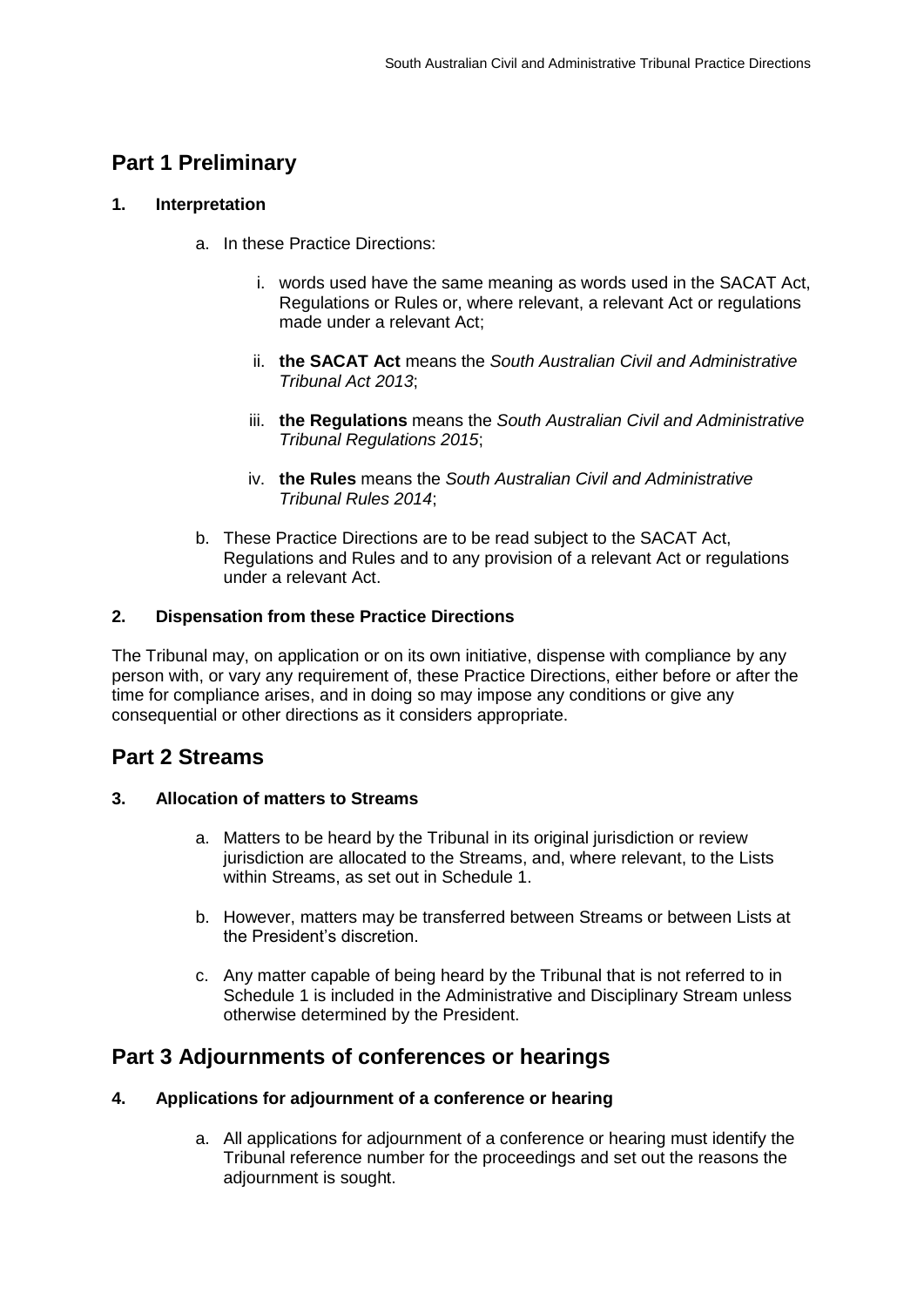# <span id="page-2-0"></span>**Part 1 Preliminary**

#### <span id="page-2-1"></span>**1. Interpretation**

- a. In these Practice Directions:
	- i. words used have the same meaning as words used in the SACAT Act, Regulations or Rules or, where relevant, a relevant Act or regulations made under a relevant Act;
	- ii. **the SACAT Act** means the *South Australian Civil and Administrative Tribunal Act 2013*;
	- iii. **the Regulations** means the *South Australian Civil and Administrative Tribunal Regulations 2015*;
	- iv. **the Rules** means the *South Australian Civil and Administrative Tribunal Rules 2014*;
- b. These Practice Directions are to be read subject to the SACAT Act, Regulations and Rules and to any provision of a relevant Act or regulations under a relevant Act.

#### <span id="page-2-2"></span>**2. Dispensation from these Practice Directions**

The Tribunal may, on application or on its own initiative, dispense with compliance by any person with, or vary any requirement of, these Practice Directions, either before or after the time for compliance arises, and in doing so may impose any conditions or give any consequential or other directions as it considers appropriate.

### <span id="page-2-3"></span>**Part 2 Streams**

#### <span id="page-2-4"></span>**3. Allocation of matters to Streams**

- a. Matters to be heard by the Tribunal in its original jurisdiction or review jurisdiction are allocated to the Streams, and, where relevant, to the Lists within Streams, as set out in Schedule 1.
- b. However, matters may be transferred between Streams or between Lists at the President's discretion.
- c. Any matter capable of being heard by the Tribunal that is not referred to in Schedule 1 is included in the Administrative and Disciplinary Stream unless otherwise determined by the President.

### <span id="page-2-5"></span>**Part 3 Adjournments of conferences or hearings**

#### <span id="page-2-6"></span>**4. Applications for adjournment of a conference or hearing**

a. All applications for adjournment of a conference or hearing must identify the Tribunal reference number for the proceedings and set out the reasons the adjournment is sought.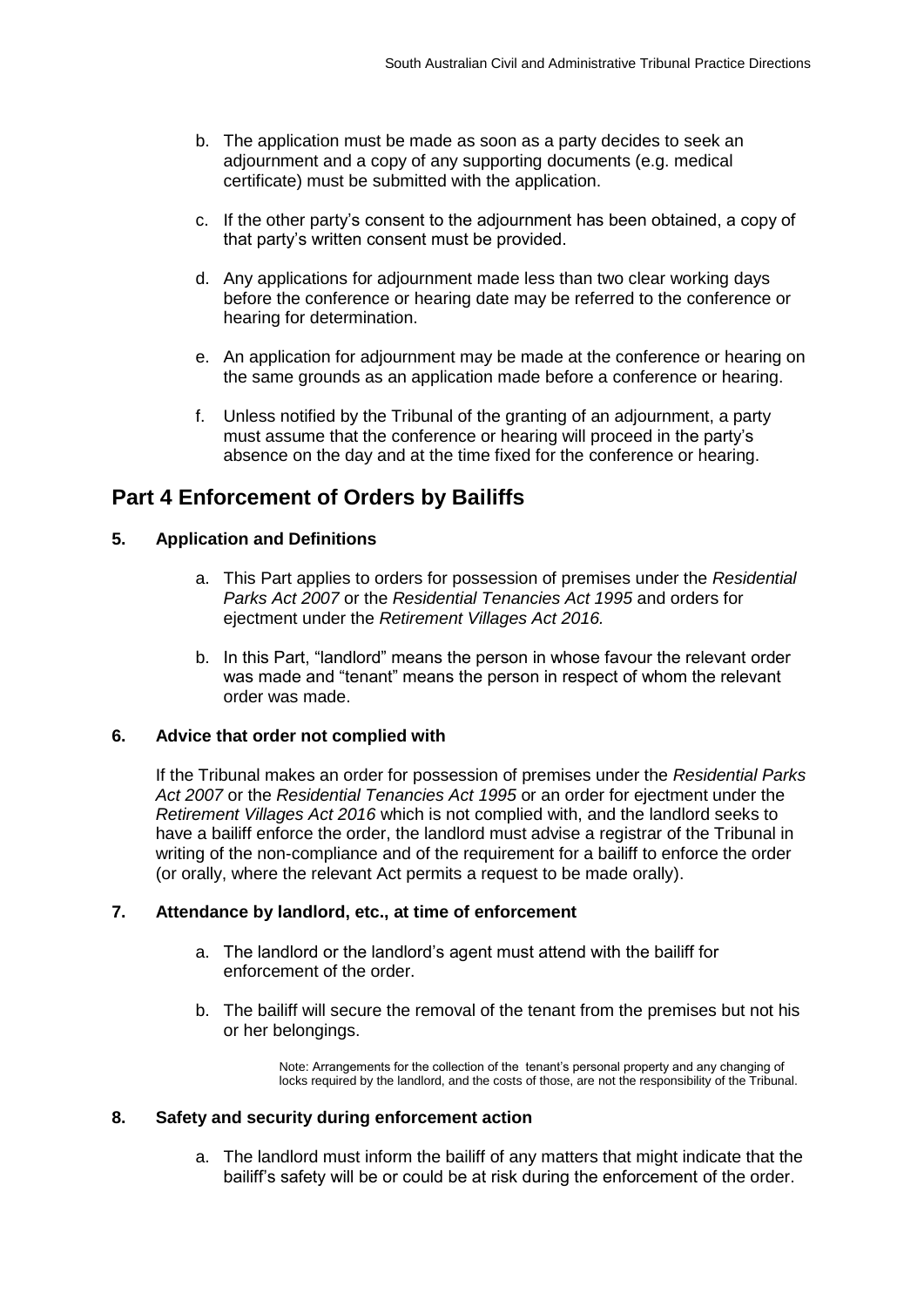- b. The application must be made as soon as a party decides to seek an adjournment and a copy of any supporting documents (e.g. medical certificate) must be submitted with the application.
- c. If the other party's consent to the adjournment has been obtained, a copy of that party's written consent must be provided.
- d. Any applications for adjournment made less than two clear working days before the conference or hearing date may be referred to the conference or hearing for determination.
- e. An application for adjournment may be made at the conference or hearing on the same grounds as an application made before a conference or hearing.
- f. Unless notified by the Tribunal of the granting of an adjournment, a party must assume that the conference or hearing will proceed in the party's absence on the day and at the time fixed for the conference or hearing.

## <span id="page-3-0"></span>**Part 4 Enforcement of Orders by Bailiffs**

#### <span id="page-3-1"></span>**5. Application and Definitions**

- a. This Part applies to orders for possession of premises under the *Residential Parks Act 2007* or the *Residential Tenancies Act 1995* and orders for ejectment under the *Retirement Villages Act 2016.*
- b. In this Part, "landlord" means the person in whose favour the relevant order was made and "tenant" means the person in respect of whom the relevant order was made.

#### <span id="page-3-2"></span>**6. Advice that order not complied with**

If the Tribunal makes an order for possession of premises under the *Residential Parks Act 2007* or the *Residential Tenancies Act 1995* or an order for ejectment under the *Retirement Villages Act 2016* which is not complied with, and the landlord seeks to have a bailiff enforce the order, the landlord must advise a registrar of the Tribunal in writing of the non-compliance and of the requirement for a bailiff to enforce the order (or orally, where the relevant Act permits a request to be made orally).

#### <span id="page-3-3"></span>**7. Attendance by landlord, etc., at time of enforcement**

- a. The landlord or the landlord's agent must attend with the bailiff for enforcement of the order.
- b. The bailiff will secure the removal of the tenant from the premises but not his or her belongings.

Note: Arrangements for the collection of the tenant's personal property and any changing of locks required by the landlord, and the costs of those, are not the responsibility of the Tribunal.

#### <span id="page-3-4"></span>**8. Safety and security during enforcement action**

a. The landlord must inform the bailiff of any matters that might indicate that the bailiff's safety will be or could be at risk during the enforcement of the order.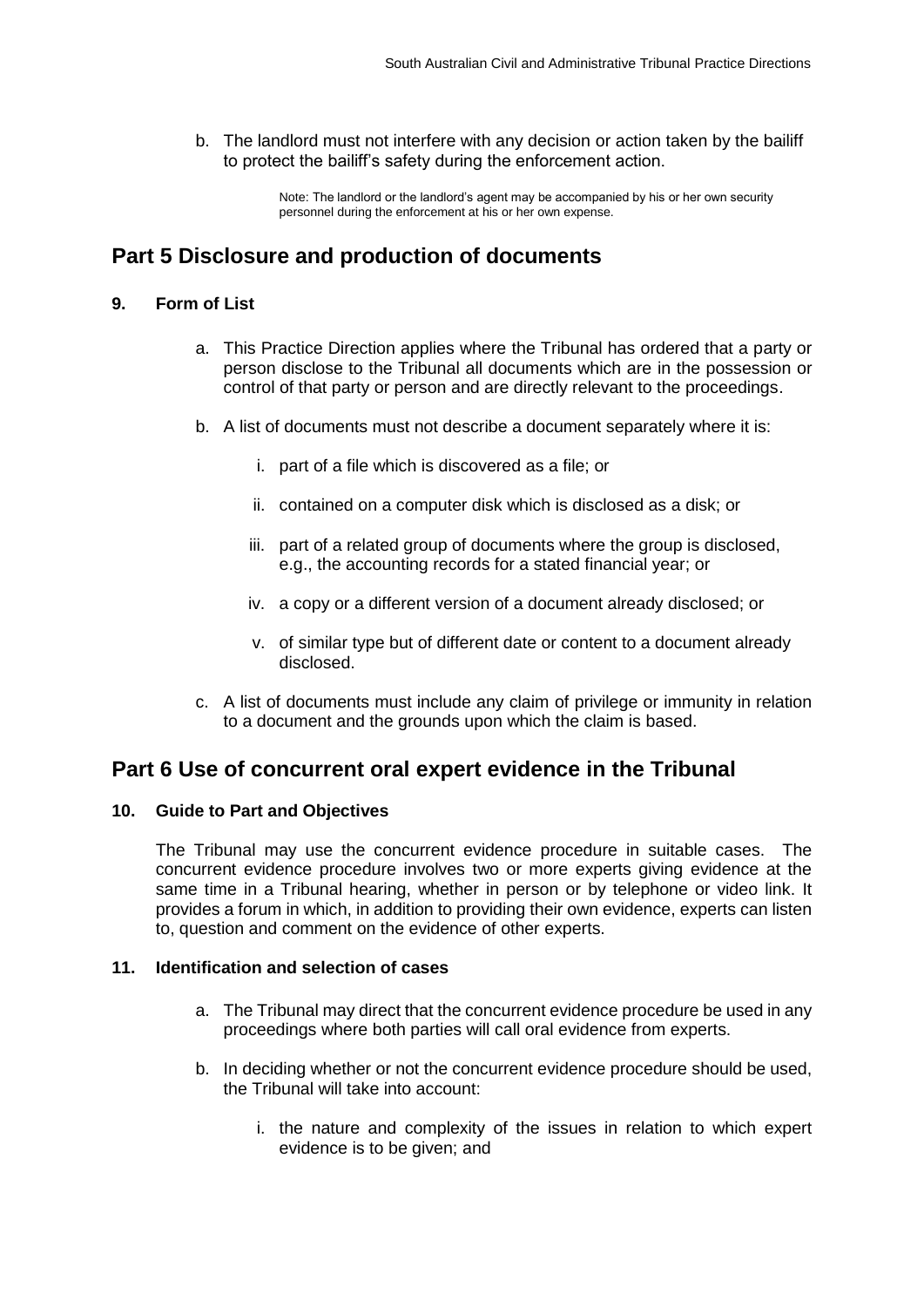b. The landlord must not interfere with any decision or action taken by the bailiff to protect the bailiff's safety during the enforcement action.

> Note: The landlord or the landlord's agent may be accompanied by his or her own security personnel during the enforcement at his or her own expense.

### <span id="page-4-0"></span>**Part 5 Disclosure and production of documents**

#### <span id="page-4-1"></span>**9. Form of List**

- a. This Practice Direction applies where the Tribunal has ordered that a party or person disclose to the Tribunal all documents which are in the possession or control of that party or person and are directly relevant to the proceedings.
- b. A list of documents must not describe a document separately where it is:
	- i. part of a file which is discovered as a file; or
	- ii. contained on a computer disk which is disclosed as a disk; or
	- iii. part of a related group of documents where the group is disclosed, e.g., the accounting records for a stated financial year; or
	- iv. a copy or a different version of a document already disclosed; or
	- v. of similar type but of different date or content to a document already disclosed.
- c. A list of documents must include any claim of privilege or immunity in relation to a document and the grounds upon which the claim is based.

### <span id="page-4-2"></span>**Part 6 Use of concurrent oral expert evidence in the Tribunal**

#### <span id="page-4-3"></span>**10. Guide to Part and Objectives**

The Tribunal may use the concurrent evidence procedure in suitable cases. The concurrent evidence procedure involves two or more experts giving evidence at the same time in a Tribunal hearing, whether in person or by telephone or video link. It provides a forum in which, in addition to providing their own evidence, experts can listen to, question and comment on the evidence of other experts.

#### <span id="page-4-4"></span>**11. Identification and selection of cases**

- a. The Tribunal may direct that the concurrent evidence procedure be used in any proceedings where both parties will call oral evidence from experts.
- b. In deciding whether or not the concurrent evidence procedure should be used, the Tribunal will take into account:
	- i. the nature and complexity of the issues in relation to which expert evidence is to be given; and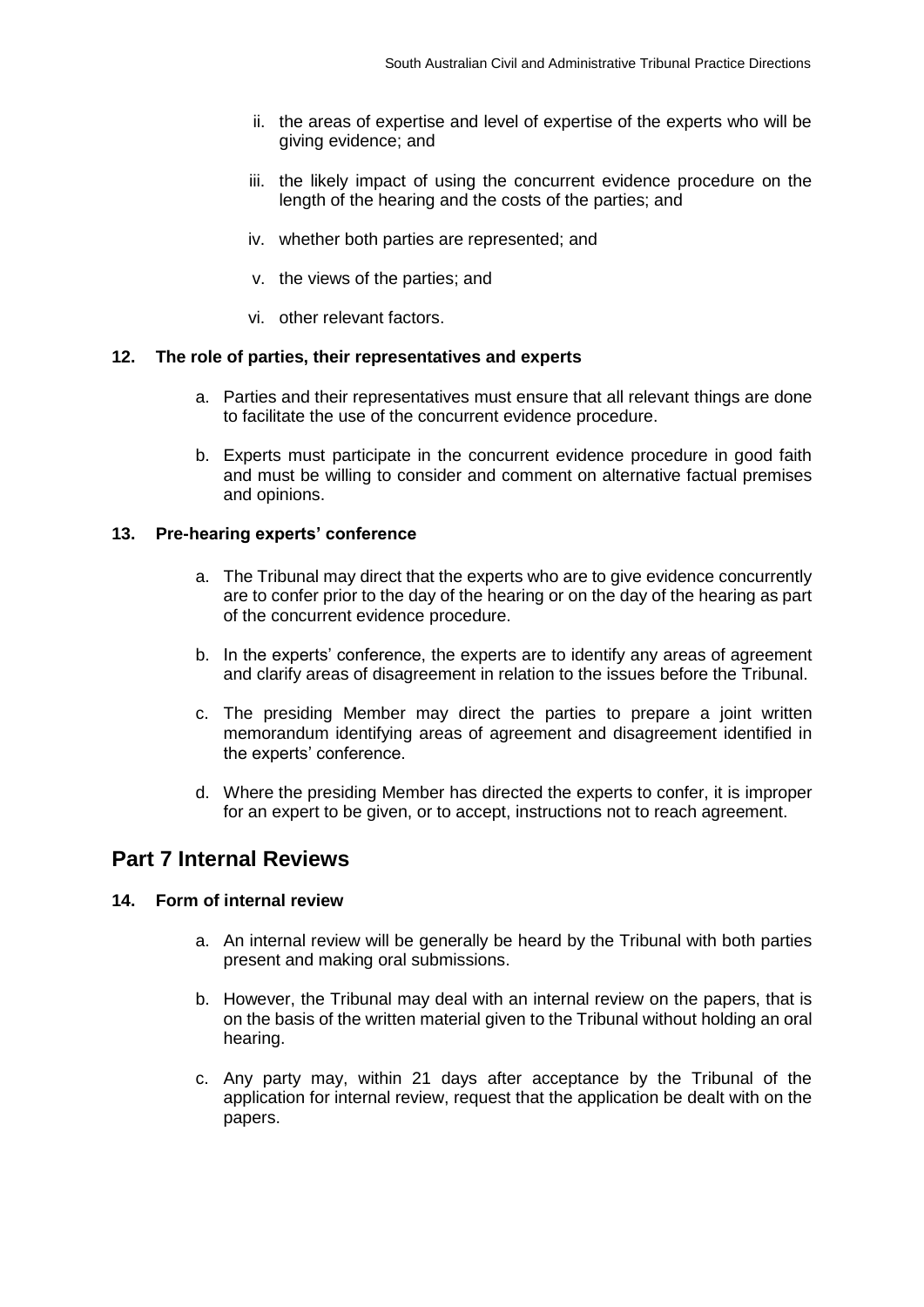- ii. the areas of expertise and level of expertise of the experts who will be giving evidence; and
- iii. the likely impact of using the concurrent evidence procedure on the length of the hearing and the costs of the parties; and
- iv. whether both parties are represented; and
- v. the views of the parties; and
- vi. other relevant factors.

#### <span id="page-5-0"></span>**12. The role of parties, their representatives and experts**

- a. Parties and their representatives must ensure that all relevant things are done to facilitate the use of the concurrent evidence procedure.
- b. Experts must participate in the concurrent evidence procedure in good faith and must be willing to consider and comment on alternative factual premises and opinions.

#### <span id="page-5-1"></span>**13. Pre-hearing experts' conference**

- a. The Tribunal may direct that the experts who are to give evidence concurrently are to confer prior to the day of the hearing or on the day of the hearing as part of the concurrent evidence procedure.
- b. In the experts' conference, the experts are to identify any areas of agreement and clarify areas of disagreement in relation to the issues before the Tribunal.
- c. The presiding Member may direct the parties to prepare a joint written memorandum identifying areas of agreement and disagreement identified in the experts' conference.
- d. Where the presiding Member has directed the experts to confer, it is improper for an expert to be given, or to accept, instructions not to reach agreement.

### <span id="page-5-2"></span>**Part 7 Internal Reviews**

#### <span id="page-5-3"></span>**14. Form of internal review**

- a. An internal review will be generally be heard by the Tribunal with both parties present and making oral submissions.
- b. However, the Tribunal may deal with an internal review on the papers, that is on the basis of the written material given to the Tribunal without holding an oral hearing.
- c. Any party may, within 21 days after acceptance by the Tribunal of the application for internal review, request that the application be dealt with on the papers.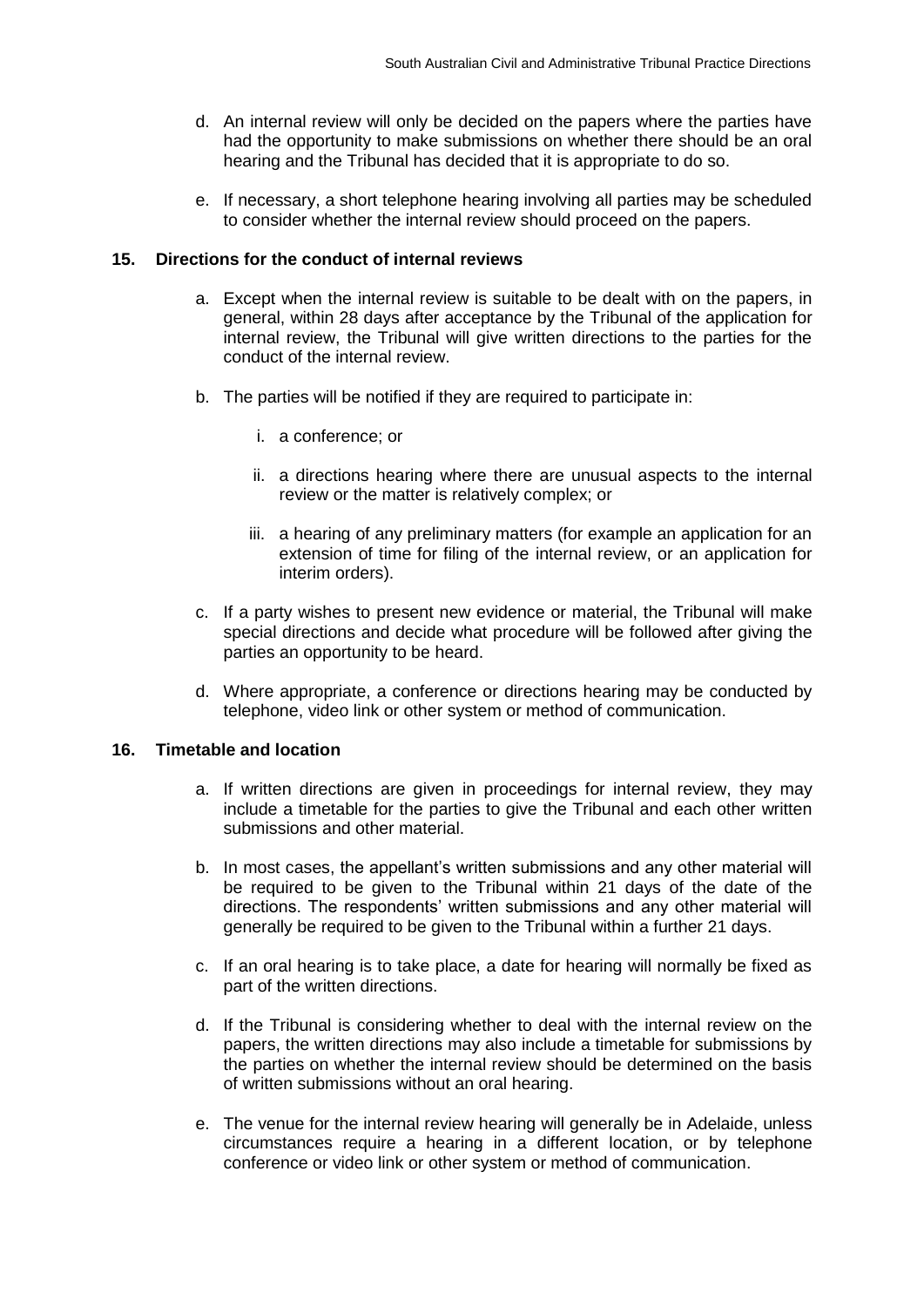- d. An internal review will only be decided on the papers where the parties have had the opportunity to make submissions on whether there should be an oral hearing and the Tribunal has decided that it is appropriate to do so.
- e. If necessary, a short telephone hearing involving all parties may be scheduled to consider whether the internal review should proceed on the papers.

#### <span id="page-6-0"></span>**15. Directions for the conduct of internal reviews**

- a. Except when the internal review is suitable to be dealt with on the papers, in general, within 28 days after acceptance by the Tribunal of the application for internal review, the Tribunal will give written directions to the parties for the conduct of the internal review.
- b. The parties will be notified if they are required to participate in:
	- i. a conference; or
	- ii. a directions hearing where there are unusual aspects to the internal review or the matter is relatively complex; or
	- iii. a hearing of any preliminary matters (for example an application for an extension of time for filing of the internal review, or an application for interim orders).
- c. If a party wishes to present new evidence or material, the Tribunal will make special directions and decide what procedure will be followed after giving the parties an opportunity to be heard.
- d. Where appropriate, a conference or directions hearing may be conducted by telephone, video link or other system or method of communication.

#### <span id="page-6-1"></span>**16. Timetable and location**

- a. If written directions are given in proceedings for internal review, they may include a timetable for the parties to give the Tribunal and each other written submissions and other material.
- b. In most cases, the appellant's written submissions and any other material will be required to be given to the Tribunal within 21 days of the date of the directions. The respondents' written submissions and any other material will generally be required to be given to the Tribunal within a further 21 days.
- c. If an oral hearing is to take place, a date for hearing will normally be fixed as part of the written directions.
- d. If the Tribunal is considering whether to deal with the internal review on the papers, the written directions may also include a timetable for submissions by the parties on whether the internal review should be determined on the basis of written submissions without an oral hearing.
- e. The venue for the internal review hearing will generally be in Adelaide, unless circumstances require a hearing in a different location, or by telephone conference or video link or other system or method of communication.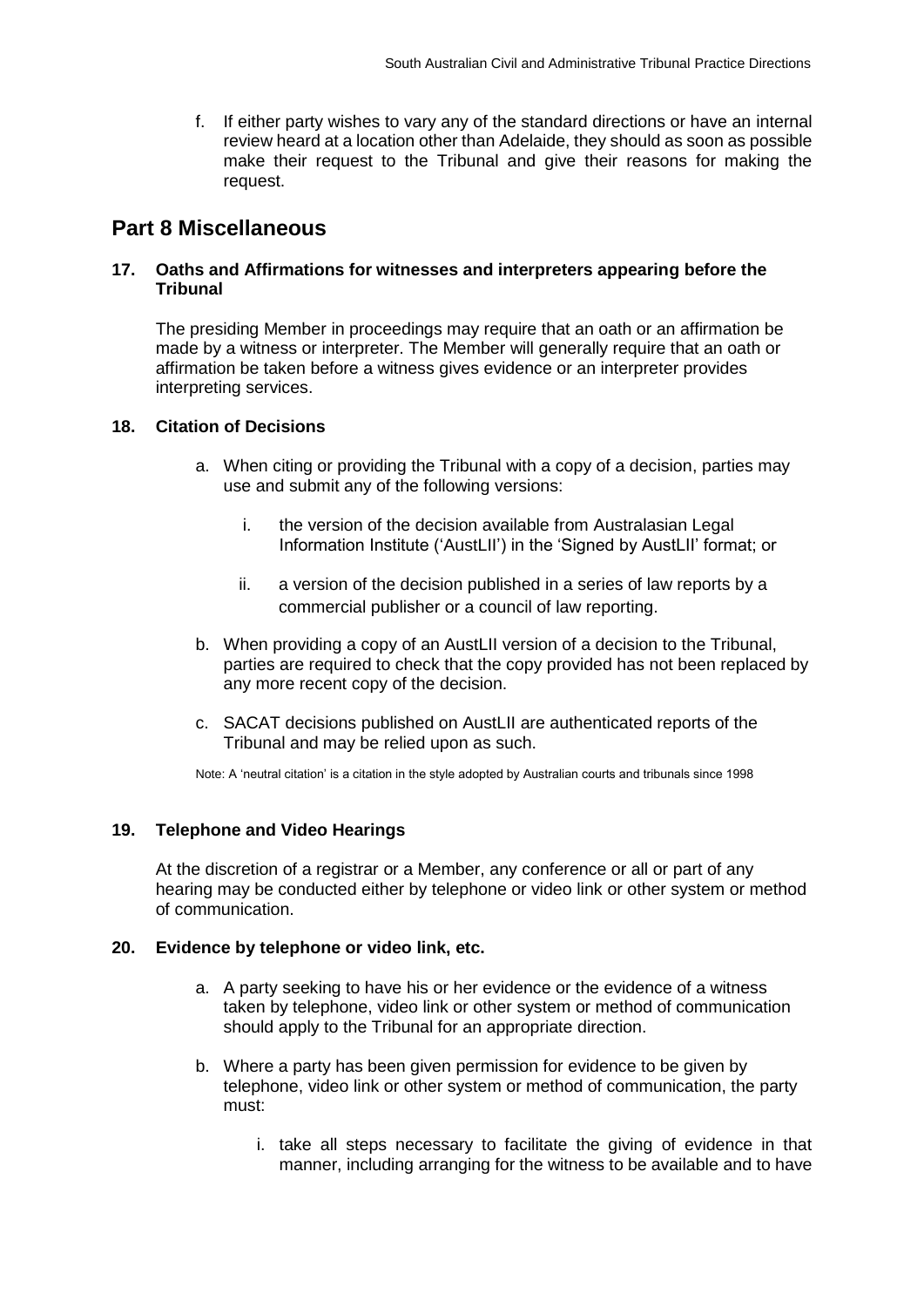f. If either party wishes to vary any of the standard directions or have an internal review heard at a location other than Adelaide, they should as soon as possible make their request to the Tribunal and give their reasons for making the request.

### <span id="page-7-0"></span>**Part 8 Miscellaneous**

#### <span id="page-7-1"></span>**17. Oaths and Affirmations for witnesses and interpreters appearing before the Tribunal**

The presiding Member in proceedings may require that an oath or an affirmation be made by a witness or interpreter. The Member will generally require that an oath or affirmation be taken before a witness gives evidence or an interpreter provides interpreting services.

#### <span id="page-7-2"></span>**18. Citation of Decisions**

- a. When citing or providing the Tribunal with a copy of a decision, parties may use and submit any of the following versions:
	- i. the version of the decision available from Australasian Legal Information Institute ('AustLII') in the 'Signed by AustLII' format; or
	- ii. a version of the decision published in a series of law reports by a commercial publisher or a council of law reporting.
- b. When providing a copy of an AustLII version of a decision to the Tribunal, parties are required to check that the copy provided has not been replaced by any more recent copy of the decision.
- c. SACAT decisions published on AustLII are authenticated reports of the Tribunal and may be relied upon as such.

Note: A 'neutral citation' is a citation in the style adopted by Australian courts and tribunals since 1998

#### <span id="page-7-3"></span>**19. Telephone and Video Hearings**

At the discretion of a registrar or a Member, any conference or all or part of any hearing may be conducted either by telephone or video link or other system or method of communication.

#### <span id="page-7-4"></span>**20. Evidence by telephone or video link, etc.**

- a. A party seeking to have his or her evidence or the evidence of a witness taken by telephone, video link or other system or method of communication should apply to the Tribunal for an appropriate direction.
- b. Where a party has been given permission for evidence to be given by telephone, video link or other system or method of communication, the party must:
	- i. take all steps necessary to facilitate the giving of evidence in that manner, including arranging for the witness to be available and to have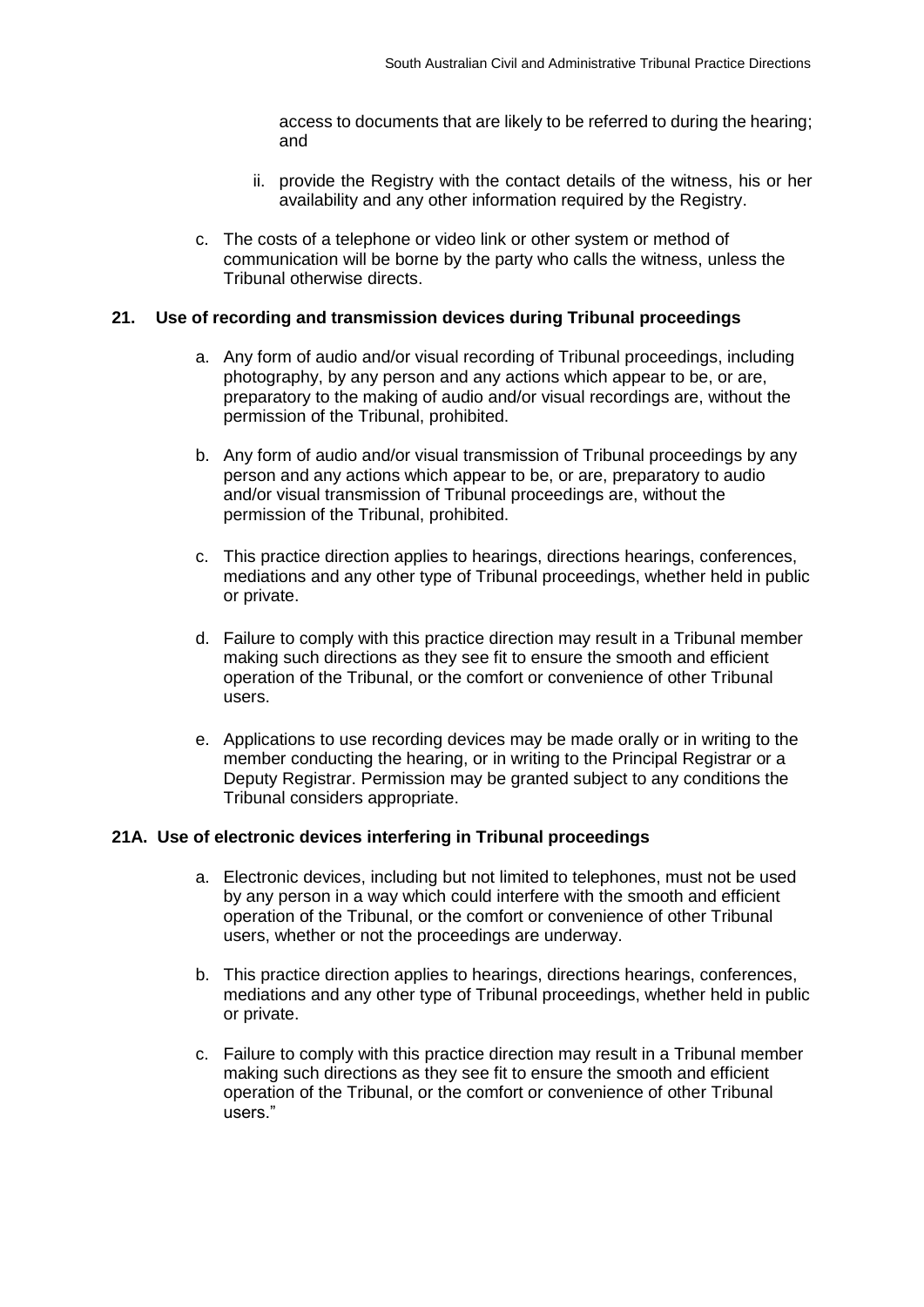access to documents that are likely to be referred to during the hearing; and

- ii. provide the Registry with the contact details of the witness, his or her availability and any other information required by the Registry.
- c. The costs of a telephone or video link or other system or method of communication will be borne by the party who calls the witness, unless the Tribunal otherwise directs.

#### <span id="page-8-0"></span>**21. Use of recording and transmission devices during Tribunal proceedings**

- a. Any form of audio and/or visual recording of Tribunal proceedings, including photography, by any person and any actions which appear to be, or are, preparatory to the making of audio and/or visual recordings are, without the permission of the Tribunal, prohibited.
- b. Any form of audio and/or visual transmission of Tribunal proceedings by any person and any actions which appear to be, or are, preparatory to audio and/or visual transmission of Tribunal proceedings are, without the permission of the Tribunal, prohibited.
- c. This practice direction applies to hearings, directions hearings, conferences, mediations and any other type of Tribunal proceedings, whether held in public or private.
- d. Failure to comply with this practice direction may result in a Tribunal member making such directions as they see fit to ensure the smooth and efficient operation of the Tribunal, or the comfort or convenience of other Tribunal users.
- e. Applications to use recording devices may be made orally or in writing to the member conducting the hearing, or in writing to the Principal Registrar or a Deputy Registrar. Permission may be granted subject to any conditions the Tribunal considers appropriate.

#### <span id="page-8-1"></span>**21A. Use of electronic devices interfering in Tribunal proceedings**

- a. Electronic devices, including but not limited to telephones, must not be used by any person in a way which could interfere with the smooth and efficient operation of the Tribunal, or the comfort or convenience of other Tribunal users, whether or not the proceedings are underway.
- b. This practice direction applies to hearings, directions hearings, conferences, mediations and any other type of Tribunal proceedings, whether held in public or private.
- c. Failure to comply with this practice direction may result in a Tribunal member making such directions as they see fit to ensure the smooth and efficient operation of the Tribunal, or the comfort or convenience of other Tribunal users."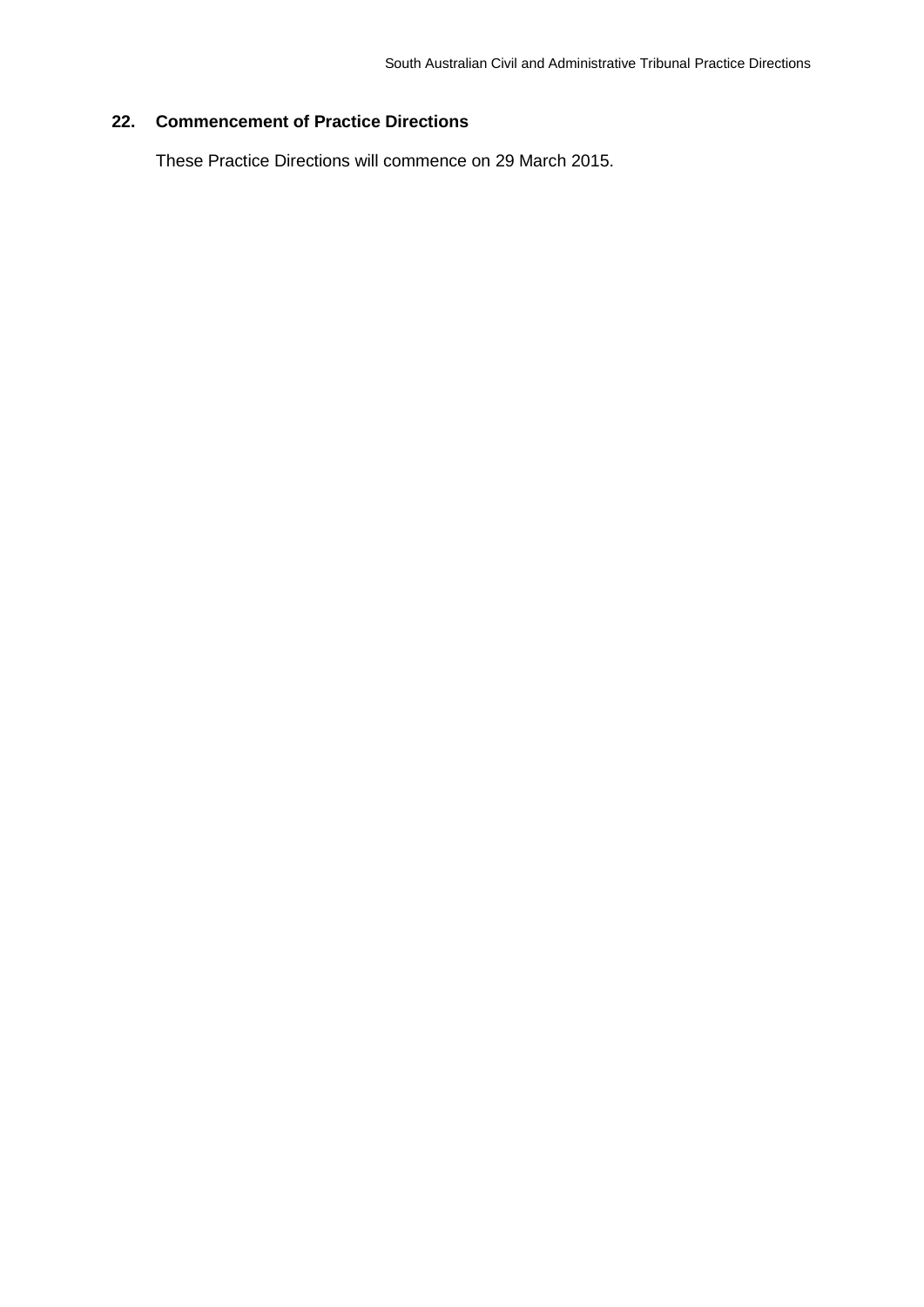#### <span id="page-9-0"></span>**22. Commencement of Practice Directions**

These Practice Directions will commence on 29 March 2015.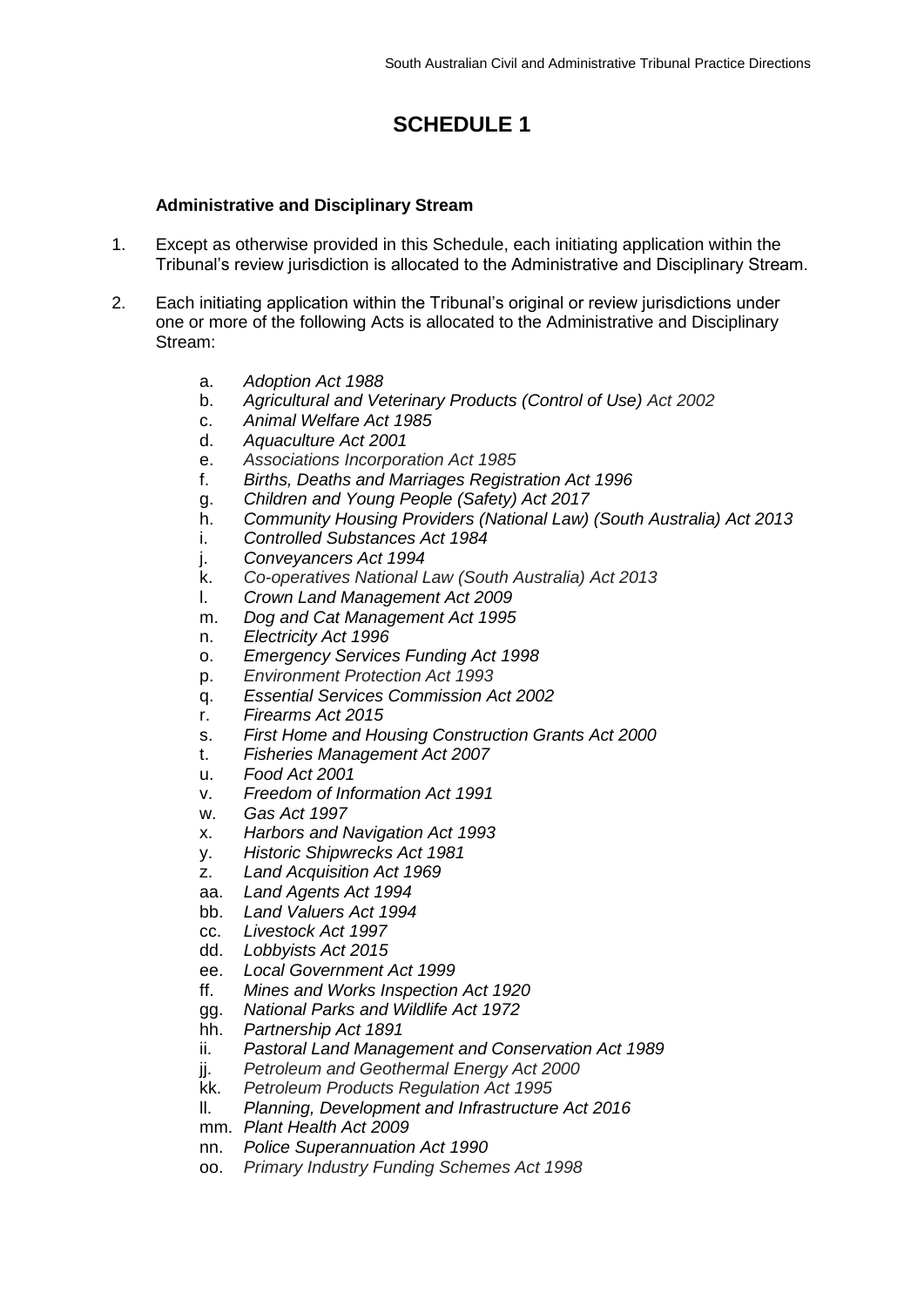# **SCHEDULE 1**

#### <span id="page-10-0"></span>**Administrative and Disciplinary Stream**

- <span id="page-10-1"></span>1. Except as otherwise provided in this Schedule, each initiating application within the Tribunal's review jurisdiction is allocated to the Administrative and Disciplinary Stream.
- 2. Each initiating application within the Tribunal's original or review jurisdictions under one or more of the following Acts is allocated to the Administrative and Disciplinary Stream:
	- a. *Adoption Act 1988*
	- b. *Agricultural and Veterinary Products (Control of Use) Act 2002*
	- c. *Animal Welfare Act 1985*
	- d. *Aquaculture Act 2001*
	- e. *Associations Incorporation Act 1985*
	- f. *Births, Deaths and Marriages Registration Act 1996*
	- g. *Children and Young People (Safety) Act 2017*
	- h. *Community Housing Providers (National Law) (South Australia) Act 2013*
	- i. *Controlled Substances Act 1984*
	- j. *Conveyancers Act 1994*
	- k. *Co-operatives National Law (South Australia) Act 2013*
	- l. *Crown Land Management Act 2009*
	- m. *Dog and Cat Management Act 1995*
	- n. *Electricity Act 1996*
	- o. *Emergency Services Funding Act 1998*
	- p. *Environment Protection Act 1993*
	- q. *Essential Services Commission Act 2002*
	- r. *Firearms Act 2015*
	- s. *First Home and Housing Construction Grants Act 2000*
	- t. *Fisheries Management Act 2007*
	- u. *Food Act 2001*
	- v. *Freedom of Information Act 1991*
	- w. *Gas Act 1997*
	- x. *Harbors and Navigation Act 1993*
	- y. *Historic Shipwrecks Act 1981*
	- z. *Land Acquisition Act 1969*
	- aa. *Land Agents Act 1994*
	- bb. *Land Valuers Act 1994*
	- cc. *Livestock Act 1997*
	- dd. *Lobbyists Act 2015*
	- ee. *Local Government Act 1999*
	- ff. *Mines and Works Inspection Act 1920*
	- gg. *National Parks and Wildlife Act 1972*
	- hh. *Partnership Act 1891*
	- ii. *Pastoral Land Management and Conservation Act 1989*
	- jj. *Petroleum and Geothermal Energy Act 2000*
	- kk. *Petroleum Products Regulation Act 1995*
	- ll. *Planning, Development and Infrastructure Act 2016*
	- mm. *Plant Health Act 2009*
	- nn. *Police Superannuation Act 1990*
	- oo. *Primary Industry Funding Schemes Act 1998*